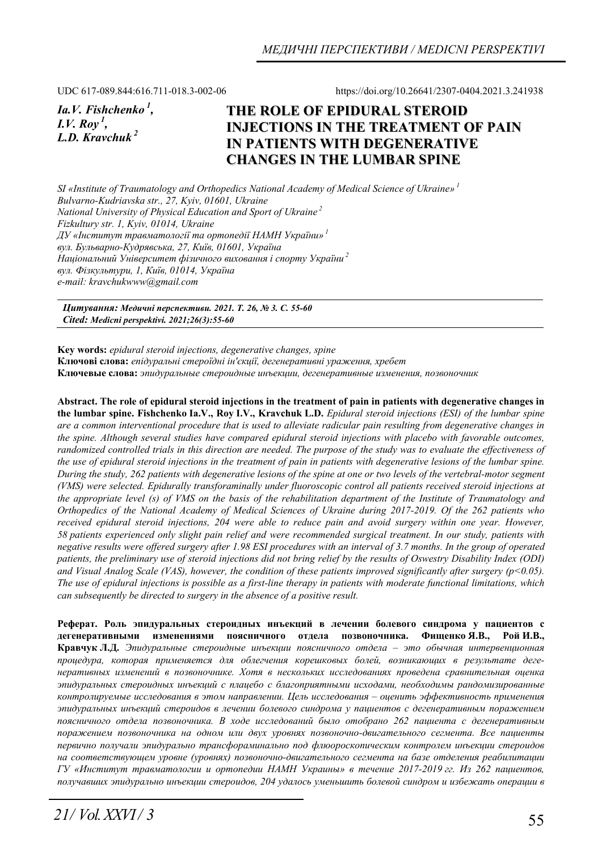UDC 617-089.844:616.711-018.3-002-06 https://doi.org/10.26641/2307-0404.2021.3.241938

*Ia.V. Fishchenko 1, I.V. Roy<sup>1</sup>*, *L.D. Kravchuk<sup>2</sup>*

# **THE ROLE OF EPIDURAL STEROID INJECTIONS IN THE TREATMENT OF PAIN IN PATIENTS WITH DEGENERATIVE CHANGES IN THE LUMBAR SPINE**

*SI «Institute of Traumatology and Orthopedics National Academy of Medical Science of Ukraine»<sup>1</sup> Bulvarno-Kudriavska str., 27, Kyiv, 01601, Ukraine National University of Physical Education and Sport of Ukraine 2 Fizkultury str. 1, Kyiv, 01014, Ukraine ДУ «Інститут травматології та ортопедії НАМН України»<sup>1</sup> вул. Бульварно-Кудрявська, 27, Київ, 01601, Україна Національний Університет фізичного виховання і спорту України<sup>2</sup> вул. Фізкультури, 1, Київ, 01014, Україна е-mail: kravchukwww@gmail.com* 

*Цитування: Медичні перспективи. 2021. Т. 26, № 3. С. 55-60 Cited: Medicni perspektivi. 2021;26(3):55-60*

**Key words:** *epidural steroid injections, degenerative changes, spine*  **Ключові слова:** *епідуральні стероїдні ін'єкції, дегенеративні ураження, хребет* **Ключевые слова:** *эпидуральные стероидные инъекции, дегенеративные изменения, позвоночник*

**Abstract. The role of epidural steroid injections in the treatment of pain in patients with degenerative changes in the lumbar spine. Fishchenko Ia.V., Roy I.V., Kravchuk L.D.** *Epidural steroid injections (ESI) of the lumbar spine are a common interventional procedure that is used to alleviate radicular pain resulting from degenerative changes in the spine. Although several studies have compared epidural steroid injections with placebo with favorable outcomes, randomized controlled trials in this direction are needed. The purpose of the study was to evaluate the effectiveness of the use of epidural steroid injections in the treatment of pain in patients with degenerative lesions of the lumbar spine. During the study, 262 patients with degenerative lesions of the spine at one or two levels of the vertebral-motor segment (VMS) were selected. Epidurally transforaminally under fluoroscopic control all patients received steroid injections at the appropriate level (s) of VMS on the basis of the rehabilitation department of the Institute of Traumatology and Orthopedics of the National Academy of Medical Sciences of Ukraine during 2017-2019. Of the 262 patients who*  received epidural steroid injections, 204 were able to reduce pain and avoid surgery within one year. However, *58 patients experienced only slight pain relief and were recommended surgical treatment. In our study, patients with negative results were offered surgery after 1.98 ESI procedures with an interval of 3.7 months. In the group of operated patients, the preliminary use of steroid injections did not bring relief by the results of Oswestry Disability Index (ODI) and Visual Analog Scale (VAS), however, the condition of these patients improved significantly after surgery (p<0.05). The use of epidural injections is possible as a first-line therapy in patients with moderate functional limitations, which can subsequently be directed to surgery in the absence of a positive result.* 

**Реферат. Роль эпидуральных стероидных инъекций в лечении болевого синдрома у пациентов с дегенеративными изменениями поясничного отдела позвоночника. Фищенко Я.В., Рой И.В., Кравчук Л.Д.** *Эпидуральные стероидные инъекции поясничного отдела – это обычная интервенционная процедура, которая применяется для облегчения корешковых болей, возникающих в результате дегенеративных изменений в позвоночнике. Хотя в нескольких исследованиях проведена сравнительная оценка эпидуральных стероидных инъекций с плацебо с благоприятными исходами, необходимы рандомизированные контролируемые исследования в этом направлении. Цель исследования – оценить эффективность применения эпидуральных инъекций стероидов в лечении болевого синдрома у пациентов с дегенеративным поражением поясничного отдела позвоночника. В ходе исследований было отобрано 262 пациента с дегенеративным поражением позвоночника на одном или двух уровнях позвоночно-двигательного сегмента. Все пациенты первично получали эпидурально трансфораминально под флюороскопическим контролем инъекции стероидов на соответствующем уровне (уровнях) позвоночно-двигательного сегмента на базе отделения реабилитации ГУ «Институт травматологии и ортопедии НАМН Украины» в течение 2017-2019 гг. Из 262 пациентов, получавших эпидурально инъекции стероидов, 204 удалось уменьшить болевой синдром и избежать операции в*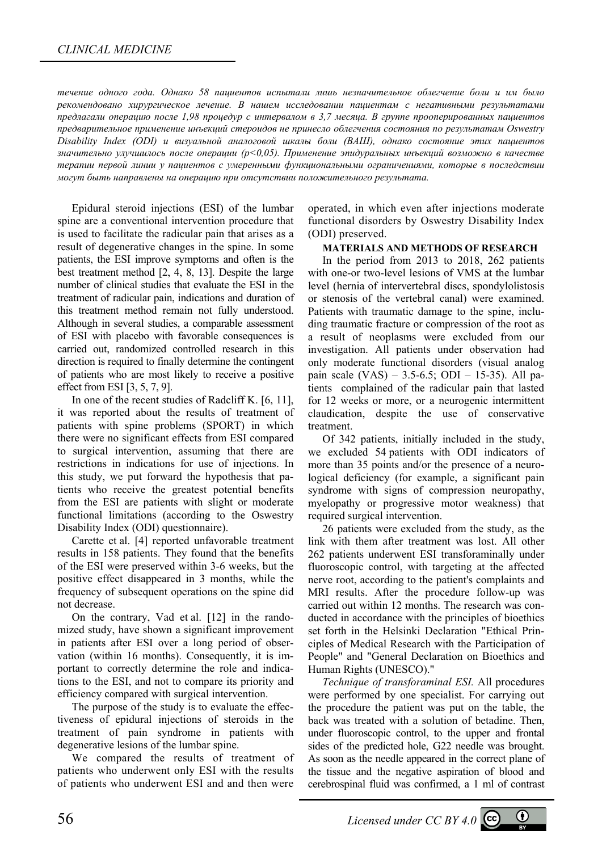*течение одного года. Однако 58 пациентов испытали лишь незначительное облегчение боли и им было рекомендовано хирургическое лечение. В нашем исследовании пациентам с негативными результатами предлагали операцию после 1,98 процедур с интервалом в 3,7 месяца. В группе прооперированных пациентов предварительное применение инъекций стероидов не принесло облегчения состояния по результатам Oswestry Disability Index (ODI) и визуальной аналоговой шкалы боли (ВАШ), однако состояние этих пациентов значительно улучшилось после операции (p<0,05). Применение эпидуральных инъекций возможно в качестве терапии первой линии у пациентов с умеренными функциональными ограничениями, которые в последствии могут быть направлены на операцию при отсутствии положительного результата.* 

Epidural steroid injections (ESI) of the lumbar spine are a conventional intervention procedure that is used to facilitate the radicular pain that arises as a result of degenerative changes in the spine. In some patients, the ESI improve symptoms and often is the best treatment method [2, 4, 8, 13]. Despite the large number of clinical studies that evaluate the ESI in the treatment of radicular pain, indications and duration of this treatment method remain not fully understood. Although in several studies, a comparable assessment of ESI with placebo with favorable consequences is carried out, randomized controlled research in this direction is required to finally determine the contingent of patients who are most likely to receive a positive effect from ESI [3, 5, 7, 9].

In one of the recent studies of Radcliff K. [6, 11], it was reported about the results of treatment of patients with spine problems (SPORT) in which there were no significant effects from ESI compared to surgical intervention, assuming that there are restrictions in indications for use of injections. In this study, we put forward the hypothesis that patients who receive the greatest potential benefits from the ESI are patients with slight or moderate functional limitations (according to the Oswestry Disability Index (ODI) questionnaire).

Carette et al. [4] reported unfavorable treatment results in 158 patients. They found that the benefits of the ESI were preserved within 3-6 weeks, but the positive effect disappeared in 3 months, while the frequency of subsequent operations on the spine did not decrease.

On the contrary, Vad et al. [12] in the randomized study, have shown a significant improvement in patients after ESI over a long period of observation (within 16 months). Consequently, it is important to correctly determine the role and indications to the ESI, and not to compare its priority and efficiency compared with surgical intervention.

The purpose of the study is to evaluate the effectiveness of epidural injections of steroids in the treatment of pain syndrome in patients with degenerative lesions of the lumbar spine.

We compared the results of treatment of patients who underwent only ESI with the results of patients who underwent ESI and and then were operated, in which even after injections moderate functional disorders by Oswestry Disability Index (ODI) preserved.

### **MATERIALS AND METHODS OF RESEARCH**

In the period from 2013 to 2018, 262 patients with one-or two-level lesions of VMS at the lumbar level (hernia of intervertebral discs, spondylolistosis or stenosis of the vertebral canal) were examined. Patients with traumatic damage to the spine, including traumatic fracture or compression of the root as a result of neoplasms were excluded from our investigation. All patients under observation had only moderate functional disorders (visual analog pain scale (VAS) – 3.5-6.5; ODI – 15-35). All patients complained of the radicular pain that lasted for 12 weeks or more, or a neurogenic intermittent claudication, despite the use of conservative treatment.

Of 342 patients, initially included in the study, we excluded 54 patients with ODI indicators of more than 35 points and/or the presence of a neurological deficiency (for example, a significant pain syndrome with signs of compression neuropathy, myelopathy or progressive motor weakness) that required surgical intervention.

26 patients were excluded from the study, as the link with them after treatment was lost. All other 262 patients underwent ESI transforaminally under fluoroscopic control, with targeting at the affected nerve root, according to the patient's complaints and MRI results. After the procedure follow-up was carried out within 12 months. The research was conducted in accordance with the principles of bioethics set forth in the Helsinki Declaration "Ethical Principles of Medical Research with the Participation of People" and "General Declaration on Bioethics and Human Rights (UNESCO)."

*Technique of transforaminal ESI.* All procedures were performed by one specialist. For carrying out the procedure the patient was put on the table, the back was treated with a solution of betadine. Then, under fluoroscopic control, to the upper and frontal sides of the predicted hole, G22 needle was brought. As soon as the needle appeared in the correct plane of the tissue and the negative aspiration of blood and cerebrospinal fluid was confirmed, a 1 ml of contrast

56 *Licensed under CC BY 4.0*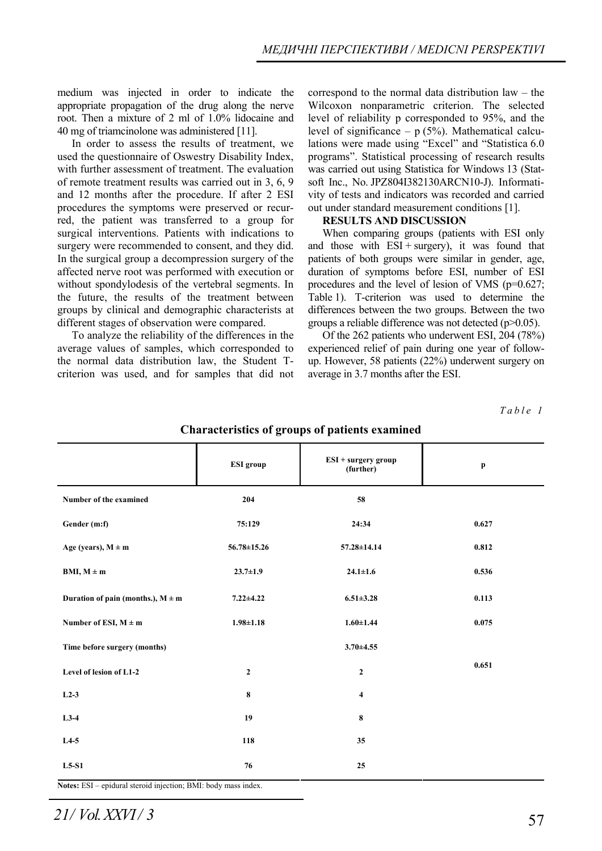medium was injected in order to indicate the appropriate propagation of the drug along the nerve root. Then a mixture of 2 ml of 1.0% lidocaine and 40 mg of triamcinolone was administered [11].

In order to assess the results of treatment, we used the questionnaire of Oswestry Disability Index, with further assessment of treatment. The evaluation of remote treatment results was carried out in 3, 6, 9 and 12 months after the procedure. If after 2 ESI procedures the symptoms were preserved or recurred, the patient was transferred to a group for surgical interventions. Patients with indications to surgery were recommended to consent, and they did. In the surgical group a decompression surgery of the affected nerve root was performed with execution or without spondylodesis of the vertebral segments. In the future, the results of the treatment between groups by clinical and demographic characterists at different stages of observation were compared.

To analyze the reliability of the differences in the average values of samples, which corresponded to the normal data distribution law, the Student Tcriterion was used, and for samples that did not

correspond to the normal data distribution law – the Wilcoxon nonparametric criterion. The selected level of reliability p corresponded to 95%, and the level of significance  $- p$  (5%). Mathematical calculations were made using "Excel" and "Statistica 6.0 programs". Statistical processing of research results was carried out using Statistica for Windows 13 (Statsoft Inc., No. JPZ804I382130ARCN10-J). Informativity of tests and indicators was recorded and carried out under standard measurement conditions [1].

#### **RESULTS AND DISCUSSION**

When comparing groups (patients with ESI only and those with  $ESI + surgery$ , it was found that patients of both groups were similar in gender, age, duration of symptoms before ESI, number of ESI procedures and the level of lesion of VMS (p=0.627; Table 1). T-criterion was used to determine the differences between the two groups. Between the two groups a reliable difference was not detected (p>0.05).

Of the 262 patients who underwent ESI, 204 (78%) experienced relief of pain during one year of followup. However, 58 patients (22%) underwent surgery on average in 3.7 months after the ESI.

*Table 1* 

|                                       | ESI group         | ESI + surgery group<br>(further) | $\mathbf{p}$ |
|---------------------------------------|-------------------|----------------------------------|--------------|
| Number of the examined                | 204               | 58                               |              |
| Gender (m:f)                          | 75:129            | 24:34                            | 0.627        |
| Age (years), $M \pm m$                | $56.78 \pm 15.26$ | 57.28±14.14                      | 0.812        |
| $BMI, M \pm m$                        | $23.7 \pm 1.9$    | $24.1 \pm 1.6$                   | 0.536        |
| Duration of pain (months.), $M \pm m$ | $7.22 \pm 4.22$   | $6.51 \pm 3.28$                  | 0.113        |
| Number of ESI, $M \pm m$              | $1.98 \pm 1.18$   | $1.60 \pm 1.44$                  | 0.075        |
| Time before surgery (months)          |                   | $3.70 \pm 4.55$                  |              |
| Level of lesion of L1-2               | $\mathbf{2}$      | $\mathbf{2}$                     | 0.651        |
| $L2-3$                                | 8                 | $\overline{\mathbf{4}}$          |              |
| $L3-4$                                | 19                | 8                                |              |
| $L4-5$                                | 118               | 35                               |              |
| $L5-S1$                               | 76                | 25                               |              |

**Characteristics of groups of patients examined** 

**Notes:** ЕSІ – epidural steroid injection; BМI: body mass index.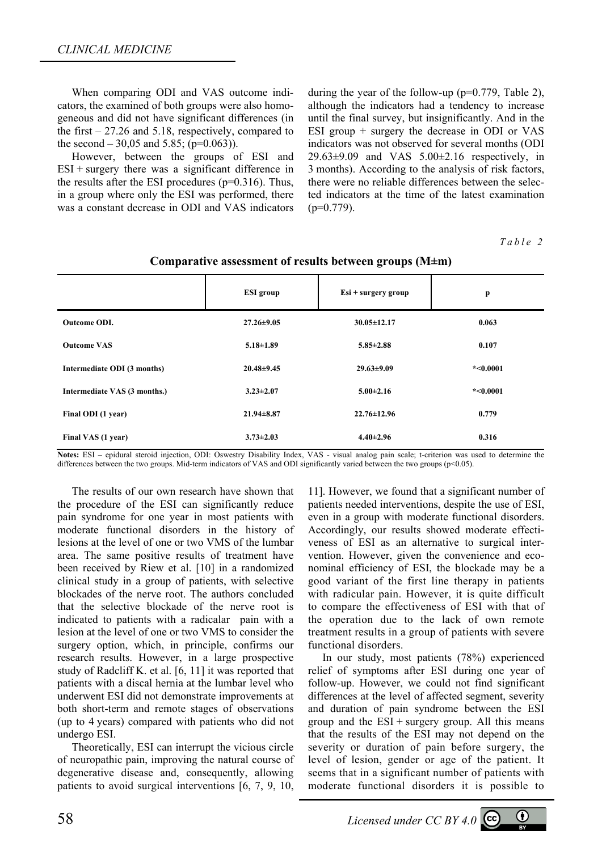When comparing ODI and VAS outcome indicators, the examined of both groups were also homogeneous and did not have significant differences (in the first  $-27.26$  and 5.18, respectively, compared to the second  $-30,05$  and 5.85; (p=0.063)).

However, between the groups of ESI and  $ESI$  + surgery there was a significant difference in the results after the ESI procedures  $(p=0.316)$ . Thus, in a group where only the ESI was performed, there was a constant decrease in ODI and VAS indicators

during the year of the follow-up ( $p=0.779$ , Table 2), although the indicators had a tendency to increase until the final survey, but insignificantly. And in the ESI group + surgery the decrease in ODI or VAS indicators was not observed for several months (ODI  $29.63\pm9.09$  and VAS  $5.00\pm2.16$  respectively, in 3 months). According to the analysis of risk factors, there were no reliable differences between the selected indicators at the time of the latest examination  $(p=0.779)$ .

#### *Table 2*

| comparative assessment of results seconden groups (14-m) |                  |                       |            |  |
|----------------------------------------------------------|------------------|-----------------------|------------|--|
|                                                          | <b>ESI</b> group | $Esi + surgery$ group | p          |  |
| <b>Outcome ODI.</b>                                      | $27.26 \pm 9.05$ | $30.05 \pm 12.17$     | 0.063      |  |
| <b>Outcome VAS</b>                                       | $5.18 \pm 1.89$  | $5.85 \pm 2.88$       | 0.107      |  |
| Intermediate ODI (3 months)                              | $20.48 \pm 9.45$ | $29.63 \pm 9.09$      | $*<0.0001$ |  |
| Intermediate VAS (3 months.)                             | $3.23 \pm 2.07$  | $5.00 \pm 2.16$       | $*<0.0001$ |  |
| Final ODI (1 year)                                       | $21.94 \pm 8.87$ | $22.76 \pm 12.96$     | 0.779      |  |
| Final VAS (1 year)                                       | $3.73 \pm 2.03$  | $4.40 \pm 2.96$       | 0.316      |  |

### **Comparative assessment of results between groups (M±m)**

**Notes:** ESI **–** epidural steroid injection, ODI: Oswestry Disability Index, VAS - visual analog pain scale; t-criterion was used to determine the differences between the two groups. Mid-term indicators of VAS and ODI significantly varied between the two groups (p<0.05).

The results of our own research have shown that the procedure of the ESI can significantly reduce pain syndrome for one year in most patients with moderate functional disorders in the history of lesions at the level of one or two VMS of the lumbar area. The same positive results of treatment have been received by Riew et al. [10] in a randomized clinical study in a group of patients, with selective blockades of the nerve root. The authors concluded that the selective blockade of the nerve root is indicated to patients with a radicalar pain with a lesion at the level of one or two VMS to consider the surgery option, which, in principle, confirms our research results. However, in a large prospective study of Radcliff K. et al. [6, 11] it was reported that patients with a discal hernia at the lumbar level who underwent ESI did not demonstrate improvements at both short-term and remote stages of observations (up to 4 years) compared with patients who did not undergo ESI.

Theoretically, ESI can interrupt the vicious circle of neuropathic pain, improving the natural course of degenerative disease and, consequently, allowing patients to avoid surgical interventions [6, 7, 9, 10,

11]. However, we found that a significant number of patients needed interventions, despite the use of ESI, even in a group with moderate functional disorders. Accordingly, our results showed moderate effectiveness of ESI as an alternative to surgical intervention. However, given the convenience and econominal efficiency of ESI, the blockade may be a good variant of the first line therapy in patients with radicular pain. However, it is quite difficult to compare the effectiveness of ESI with that of the operation due to the lack of own remote treatment results in a group of patients with severe functional disorders.

In our study, most patients (78%) experienced relief of symptoms after ESI during one year of follow-up. However, we could not find significant differences at the level of affected segment, severity and duration of pain syndrome between the ESI group and the  $ESI + surgery$  group. All this means that the results of the ESI may not depend on the severity or duration of pain before surgery, the level of lesion, gender or age of the patient. It seems that in a significant number of patients with moderate functional disorders it is possible to

58 *Licensed under CC BY 4.0* 

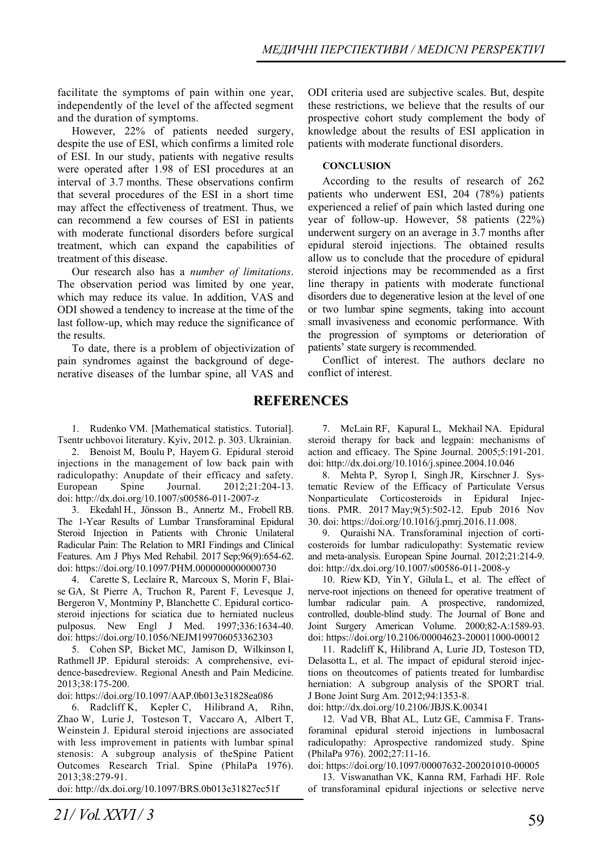facilitate the symptoms of pain within one year, independently of the level of the affected segment and the duration of symptoms.

However, 22% of patients needed surgery, despite the use of ESI, which confirms a limited role of ESI. In our study, patients with negative results were operated after 1.98 of ESI procedures at an interval of 3.7 months. These observations confirm that several procedures of the ESI in a short time may affect the effectiveness of treatment. Thus, we can recommend a few courses of ESI in patients with moderate functional disorders before surgical treatment, which can expand the capabilities of treatment of this disease.

Our research also has a *number of limitations*. The observation period was limited by one year, which may reduce its value. In addition, VAS and ODI showed a tendency to increase at the time of the last follow-up, which may reduce the significance of the results.

To date, there is a problem of objectivization of pain syndromes against the background of degenerative diseases of the lumbar spine, all VAS and ODI criteria used are subjective scales. But, despite these restrictions, we believe that the results of our prospective cohort study complement the body of knowledge about the results of ESI application in patients with moderate functional disorders.

### **CONCLUSION**

According to the results of research of 262 patients who underwent ESI, 204 (78%) patients experienced a relief of pain which lasted during one year of follow-up. However, 58 patients (22%) underwent surgery on an average in 3.7 months after epidural steroid injections. The obtained results allow us to conclude that the procedure of epidural steroid injections may be recommended as a first line therapy in patients with moderate functional disorders due to degenerative lesion at the level of one or two lumbar spine segments, taking into account small invasiveness and economic performance. With the progression of symptoms or deterioration of patients' state surgery is recommended.

Conflict of interest. The authors declare no conflict of interest.

# **REFERENCES**

1. Rudenko VM. [Mathematical statistics. Tutorial]. Tsentr uchbovoi literatury. Kyiv, 2012. p. 303. Ukrainian.

2. Benoist M, Boulu P, Hayem G. Epidural steroid injections in the management of low back pain with radiculopathy: Anupdate of their efficacy and safety. European Spine Journal. 2012;21:204-13. doi: http://dx.doi.org/10.1007/s00586-011-2007-z

3. Ekedahl H., Jönsson B., Annertz M., Frobell RB. The 1-Year Results of Lumbar Transforaminal Epidural Steroid Injection in Patients with Chronic Unilateral Radicular Pain: The Relation to MRI Findings and Clinical Features. Am J Phys Med Rehabil. 2017 Sep;96(9):654-62. doi: https://doi.org/10.1097/PHM.0000000000000730

4. Carette S, Leclaire R, Marcoux S, Morin F, Blaise GA, St Pierre A, Truchon R, Parent F, Levesque J, Bergeron V, Montminy P, Blanchette C. Epidural corticosteroid injections for sciatica due to herniated nucleus pulposus. New Engl J Med. 1997;336:1634-40. doi: https://doi.org/10.1056/NEJM199706053362303

5. Cohen SP, Bicket MC, Jamison D, Wilkinson I, Rathmell JP. Epidural steroids: A comprehensive, evidence-basedreview. Regional Anesth and Pain Medicine. 2013;38:175-200.

doi: https://doi.org/10.1097/AAP.0b013e31828ea086

6. Radcliff K, Kepler C, Hilibrand A, Rihn, Zhao W, Lurie J, Tosteson T, Vaccaro A, Albert T, Weinstein J. Epidural steroid injections are associated with less improvement in patients with lumbar spinal stenosis: A subgroup analysis of theSpine Patient Outcomes Research Trial. Spine (PhilaPa 1976). 2013;38:279-91.

doi: http://dx.doi.org/10.1097/BRS.0b013e31827ec51f

7. McLain RF, Kapural L, Mekhail NA. Epidural steroid therapy for back and legpain: mechanisms of action and efficacy. The Spine Journal. 2005;5:191-201. doi: http://dx.doi.org/10.1016/j.spinee.2004.10.046

8. Mehta P, Syrop I, Singh JR, Kirschner J. Systematic Review of the Efficacy of Particulate Versus Nonparticulate Corticosteroids in Epidural Injections. PMR. 2017 May;9(5):502-12. Epub 2016 Nov 30. doi: https://doi.org/10.1016/j.pmrj.2016.11.008.

9. Quraishi NA. Transforaminal injection of corticosteroids for lumbar radiculopathy: Systematic review and meta-analysis. European Spine Journal. 2012;21:214-9. doi: http://dx.doi.org/10.1007/s00586-011-2008-y

10. Riew KD, Yin Y, Gilula L, et al. The effect of nerve-root injections on theneed for operative treatment of lumbar radicular pain. A prospective, randomized, controlled, double-blind study. The Journal of Bone and Joint Surgery American Volume. 2000;82-A:1589-93. doi: https://doi.org/10.2106/00004623-200011000-00012

11. Radcliff K, Hilibrand A, Lurie JD, Tosteson TD, Delasotta L, et al. The impact of epidural steroid injections on theoutcomes of patients treated for lumbardisc herniation: A subgroup analysis of the SPORT trial. J Bone Joint Surg Am. 2012;94:1353-8.

doi: http://dx.doi.org/10.2106/JBJS.K.00341

12. Vad VB, Bhat AL, Lutz GE, Cammisa F. Transforaminal epidural steroid injections in lumbosacral radiculopathy: Aprospective randomized study. Spine (PhilaPa 976). 2002;27:11-16.

doi: https://doi.org/10.1097/00007632-200201010-00005

13. Viswanathan VK, Kanna RM, Farhadi HF. Role of transforaminal epidural injections or selective nerve